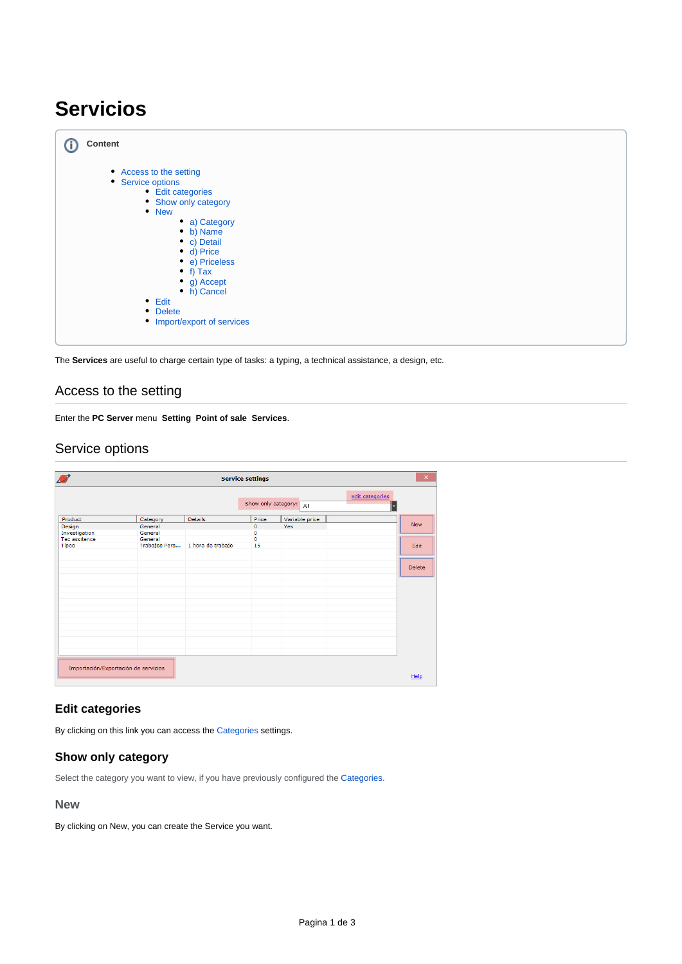# **Servicios**

| <b>Content</b>                                                                                                                                                                                                                                                                         |  |
|----------------------------------------------------------------------------------------------------------------------------------------------------------------------------------------------------------------------------------------------------------------------------------------|--|
| • Access to the setting<br>• Service options<br>• Edit categories<br>• Show only category<br>• New<br>• a) Category<br>• b) Name<br>• c) Detail<br>• d) Price<br>• e) Priceless<br>• f) Tax<br>• g) Accept<br>• h) Cancel<br>$\bullet$ Edit<br>• Delete<br>• Import/export of services |  |

The **Services** are useful to charge certain type of tasks: a typing, a technical assistance, a design, etc.

### <span id="page-0-0"></span>Access to the setting

Enter the **PC Server** menu **Setting Point of sale Services**.

## <span id="page-0-1"></span>Service options

| $\boldsymbol{\mathcal{L}}$<br>$\times$<br><b>Service settings</b> |                                      |                   |                     |                |                             |  |
|-------------------------------------------------------------------|--------------------------------------|-------------------|---------------------|----------------|-----------------------------|--|
|                                                                   |                                      |                   | Show only category: | All            | <b>Edit categories</b><br>Е |  |
| Product                                                           | Category                             | Details           | Price               | Variable price |                             |  |
| Design                                                            | General                              |                   | $\circ$             | Yes            | <b>New</b>                  |  |
| Investigation                                                     | General                              |                   | $\circ$             |                |                             |  |
| Tec assitence                                                     | General                              |                   | $\circ$             |                |                             |  |
| Tipeo                                                             | Trabajos Pers                        | 1 hora de trabajo | 15                  |                | Edit                        |  |
|                                                                   |                                      |                   |                     |                | <b>Delete</b>               |  |
|                                                                   |                                      |                   |                     |                |                             |  |
|                                                                   |                                      |                   |                     |                |                             |  |
|                                                                   |                                      |                   |                     |                |                             |  |
|                                                                   |                                      |                   |                     |                |                             |  |
|                                                                   |                                      |                   |                     |                |                             |  |
|                                                                   |                                      |                   |                     |                |                             |  |
|                                                                   |                                      |                   |                     |                |                             |  |
|                                                                   |                                      |                   |                     |                |                             |  |
|                                                                   | Importación/Exportación de servicios |                   |                     |                | Help                        |  |

### <span id="page-0-2"></span>**Edit categories**

By clicking on this link you can access the [Categories](http://docs.tenaxsoft.com/pages/viewpage.action?pageId=13140600) settings.

### <span id="page-0-3"></span>**Show only category**

Select the category you want to view, if you have previously configured the [Categories.](http://docs.tenaxsoft.com/pages/viewpage.action?pageId=13140600)

#### <span id="page-0-4"></span>**New**

By clicking on New, you can create the Service you want.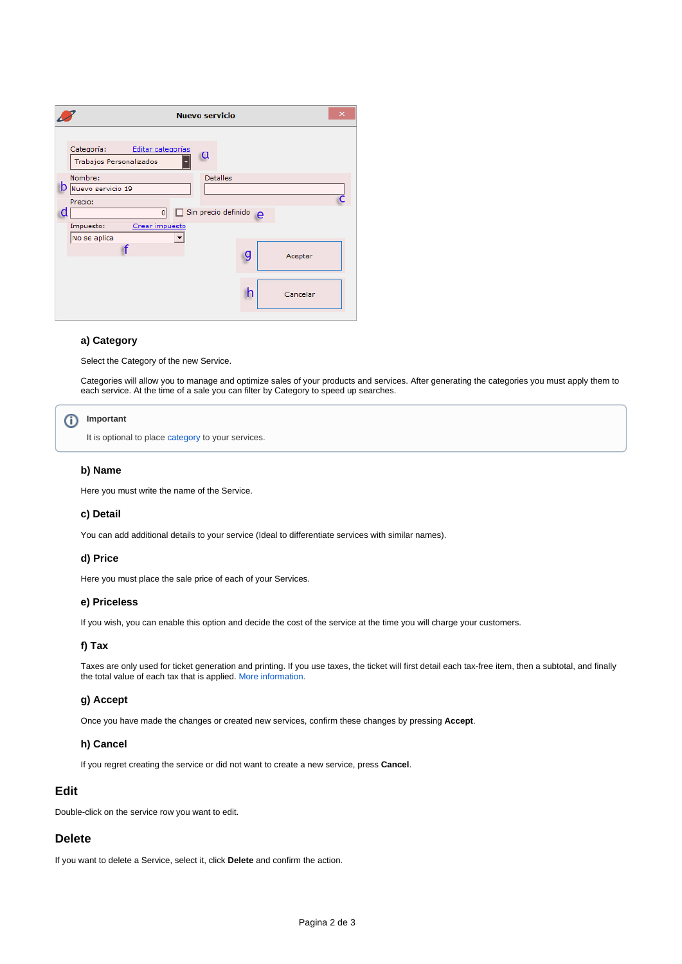| <b>Nuevo servicio</b>                                                                                                                                                                                     | $\times$      |
|-----------------------------------------------------------------------------------------------------------------------------------------------------------------------------------------------------------|---------------|
| Categoría:<br>Editar categorías<br>α<br>Trabajos Personalizados<br>ь<br>Nombre:<br><b>Detalles</b><br>D Nuevo servicio 19<br>Precio:<br>Sin precio definido<br>d<br>0<br>п<br>Crear impuesto<br>Impuesto: | $\mathbf{e}$  |
| No se aplica                                                                                                                                                                                              | g<br>Aceptar  |
|                                                                                                                                                                                                           | h<br>Cancelar |

#### <span id="page-1-0"></span>**a) Category**

Select the Category of the new Service.

Categories will allow you to manage and optimize sales of your products and services. After generating the categories you must apply them to each service. At the time of a sale you can filter by Category to speed up searches.

#### **Important** ന

It is optional to place [category](http://docs.tenaxsoft.com/pages/viewpage.action?pageId=13140600) to your services.

#### <span id="page-1-1"></span>**b) Name**

Here you must write the name of the Service.

#### <span id="page-1-2"></span>**c) Detail**

You can add additional details to your service (Ideal to differentiate services with similar names).

#### <span id="page-1-3"></span>**d) Price**

Here you must place the sale price of each of your Services.

#### <span id="page-1-4"></span>**e) Priceless**

If you wish, you can enable this option and decide the cost of the service at the time you will charge your customers.

### <span id="page-1-5"></span>**f) Tax**

Taxes are only used for ticket generation and printing. If you use taxes, the ticket will first detail each tax-free item, then a subtotal, and finally the total value of each tax that is applied. [More information.](http://docs.tenaxsoft.com/display/CYB65/Impuestos)

#### <span id="page-1-6"></span>**g) Accept**

Once you have made the changes or created new services, confirm these changes by pressing **Accept**.

#### **h) Cancel**

If you regret creating the service or did not want to create a new service, press **Cancel**.

#### <span id="page-1-8"></span><span id="page-1-7"></span>**Edit**

Double-click on the service row you want to edit.

#### <span id="page-1-9"></span>**Delete**

<span id="page-1-10"></span>If you want to delete a Service, select it, click **Delete** and confirm the action.